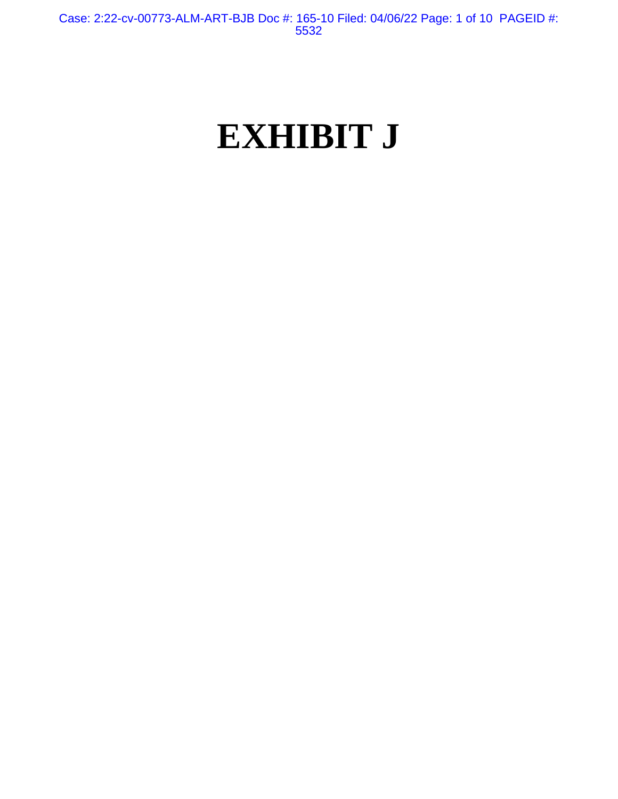# **EXHIBIT J**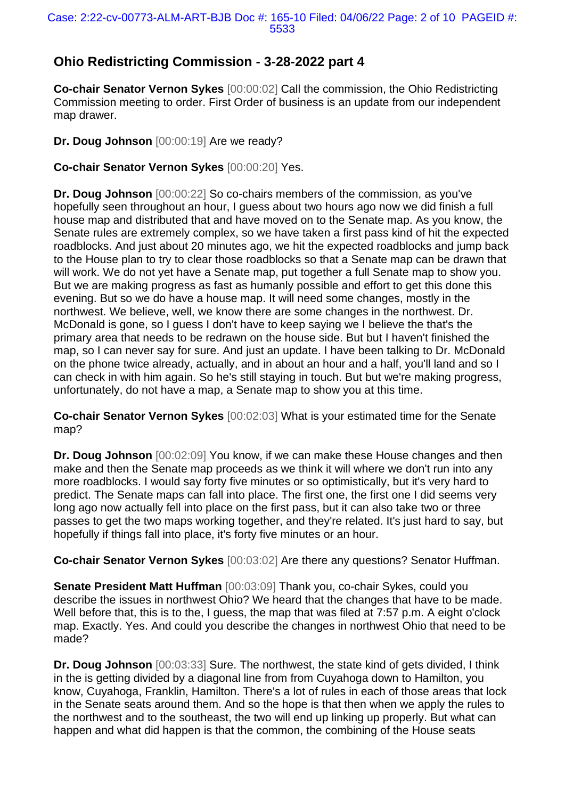## **Ohio Redistricting Commission - 3-28-2022 part 4**

**Co-chair Senator Vernon Sykes** [00:00:02] Call the commission, the Ohio Redistricting Commission meeting to order. First Order of business is an update from our independent map drawer.

**Dr. Doug Johnson** [00:00:19] Are we ready?

**Co-chair Senator Vernon Sykes** [00:00:20] Yes.

**Dr. Doug Johnson** [00:00:22] So co-chairs members of the commission, as you've hopefully seen throughout an hour. I guess about two hours ago now we did finish a full house map and distributed that and have moved on to the Senate map. As you know, the Senate rules are extremely complex, so we have taken a first pass kind of hit the expected roadblocks. And just about 20 minutes ago, we hit the expected roadblocks and jump back to the House plan to try to clear those roadblocks so that a Senate map can be drawn that will work. We do not yet have a Senate map, put together a full Senate map to show you. But we are making progress as fast as humanly possible and effort to get this done this evening. But so we do have a house map. It will need some changes, mostly in the northwest. We believe, well, we know there are some changes in the northwest. Dr. McDonald is gone, so I guess I don't have to keep saying we I believe the that's the primary area that needs to be redrawn on the house side. But but I haven't finished the map, so I can never say for sure. And just an update. I have been talking to Dr. McDonald on the phone twice already, actually, and in about an hour and a half, you'll land and so I can check in with him again. So he's still staying in touch. But but we're making progress, unfortunately, do not have a map, a Senate map to show you at this time.

**Co-chair Senator Vernon Sykes** [00:02:03] What is your estimated time for the Senate map?

**Dr. Doug Johnson** [00:02:09] You know, if we can make these House changes and then make and then the Senate map proceeds as we think it will where we don't run into any more roadblocks. I would say forty five minutes or so optimistically, but it's very hard to predict. The Senate maps can fall into place. The first one, the first one I did seems very long ago now actually fell into place on the first pass, but it can also take two or three passes to get the two maps working together, and they're related. It's just hard to say, but hopefully if things fall into place, it's forty five minutes or an hour.

**Co-chair Senator Vernon Sykes** [00:03:02] Are there any questions? Senator Huffman.

**Senate President Matt Huffman** [00:03:09] Thank you, co-chair Sykes, could you describe the issues in northwest Ohio? We heard that the changes that have to be made. Well before that, this is to the, I guess, the map that was filed at 7:57 p.m. A eight o'clock map. Exactly. Yes. And could you describe the changes in northwest Ohio that need to be made?

**Dr. Doug Johnson** [00:03:33] Sure. The northwest, the state kind of gets divided, I think in the is getting divided by a diagonal line from from Cuyahoga down to Hamilton, you know, Cuyahoga, Franklin, Hamilton. There's a lot of rules in each of those areas that lock in the Senate seats around them. And so the hope is that then when we apply the rules to the northwest and to the southeast, the two will end up linking up properly. But what can happen and what did happen is that the common, the combining of the House seats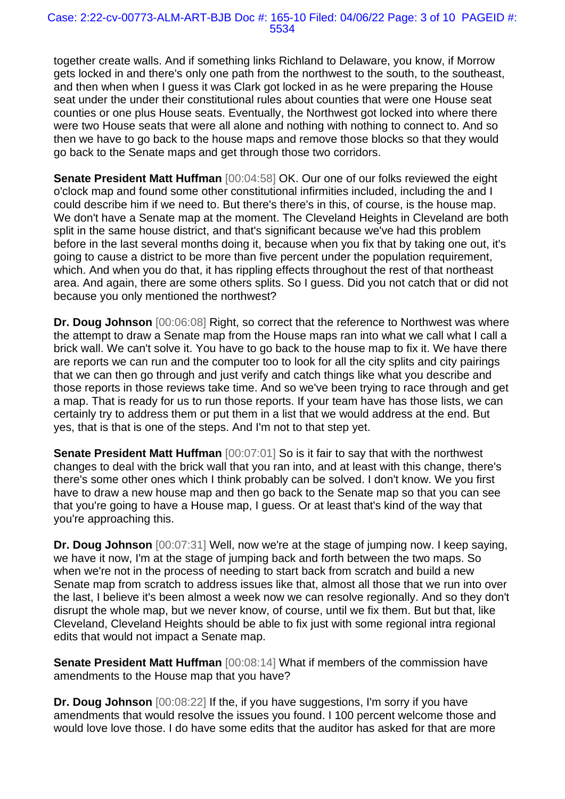together create walls. And if something links Richland to Delaware, you know, if Morrow gets locked in and there's only one path from the northwest to the south, to the southeast, and then when when I guess it was Clark got locked in as he were preparing the House seat under the under their constitutional rules about counties that were one House seat counties or one plus House seats. Eventually, the Northwest got locked into where there were two House seats that were all alone and nothing with nothing to connect to. And so then we have to go back to the house maps and remove those blocks so that they would go back to the Senate maps and get through those two corridors.

**Senate President Matt Huffman** [00:04:58] OK. Our one of our folks reviewed the eight o'clock map and found some other constitutional infirmities included, including the and I could describe him if we need to. But there's there's in this, of course, is the house map. We don't have a Senate map at the moment. The Cleveland Heights in Cleveland are both split in the same house district, and that's significant because we've had this problem before in the last several months doing it, because when you fix that by taking one out, it's going to cause a district to be more than five percent under the population requirement, which. And when you do that, it has rippling effects throughout the rest of that northeast area. And again, there are some others splits. So I guess. Did you not catch that or did not because you only mentioned the northwest?

**Dr. Doug Johnson** [00:06:08] Right, so correct that the reference to Northwest was where the attempt to draw a Senate map from the House maps ran into what we call what I call a brick wall. We can't solve it. You have to go back to the house map to fix it. We have there are reports we can run and the computer too to look for all the city splits and city pairings that we can then go through and just verify and catch things like what you describe and those reports in those reviews take time. And so we've been trying to race through and get a map. That is ready for us to run those reports. If your team have has those lists, we can certainly try to address them or put them in a list that we would address at the end. But yes, that is that is one of the steps. And I'm not to that step yet.

**Senate President Matt Huffman** [00:07:01] So is it fair to say that with the northwest changes to deal with the brick wall that you ran into, and at least with this change, there's there's some other ones which I think probably can be solved. I don't know. We you first have to draw a new house map and then go back to the Senate map so that you can see that you're going to have a House map, I guess. Or at least that's kind of the way that you're approaching this.

**Dr. Doug Johnson** [00:07:31] Well, now we're at the stage of jumping now. I keep saying, we have it now, I'm at the stage of jumping back and forth between the two maps. So when we're not in the process of needing to start back from scratch and build a new Senate map from scratch to address issues like that, almost all those that we run into over the last, I believe it's been almost a week now we can resolve regionally. And so they don't disrupt the whole map, but we never know, of course, until we fix them. But but that, like Cleveland, Cleveland Heights should be able to fix just with some regional intra regional edits that would not impact a Senate map.

**Senate President Matt Huffman** [00:08:14] What if members of the commission have amendments to the House map that you have?

**Dr. Doug Johnson**  $[00:08:22]$  If the, if you have suggestions, I'm sorry if you have amendments that would resolve the issues you found. I 100 percent welcome those and would love love those. I do have some edits that the auditor has asked for that are more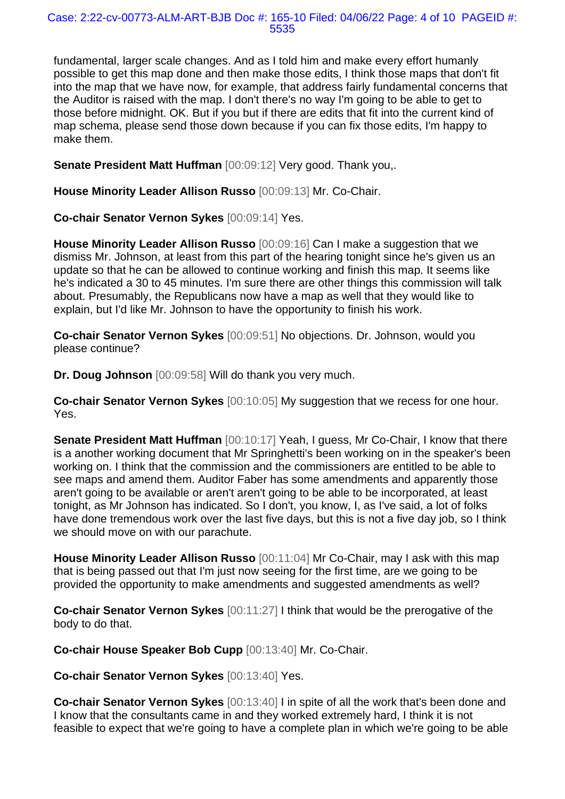fundamental, larger scale changes. And as I told him and make every effort humanly possible to get this map done and then make those edits, I think those maps that don't fit into the map that we have now, for example, that address fairly fundamental concerns that the Auditor is raised with the map. I don't there's no way I'm going to be able to get to those before midnight. OK. But if you but if there are edits that fit into the current kind of map schema, please send those down because if you can fix those edits, I'm happy to make them.

**Senate President Matt Huffman** [00:09:12] Very good. Thank you,.

**House Minority Leader Allison Russo** [00:09:13] Mr. Co-Chair.

**Co-chair Senator Vernon Sykes** [00:09:14] Yes.

**House Minority Leader Allison Russo** [00:09:16] Can I make a suggestion that we dismiss Mr. Johnson, at least from this part of the hearing tonight since he's given us an update so that he can be allowed to continue working and finish this map. It seems like he's indicated a 30 to 45 minutes. I'm sure there are other things this commission will talk about. Presumably, the Republicans now have a map as well that they would like to explain, but I'd like Mr. Johnson to have the opportunity to finish his work.

**Co-chair Senator Vernon Sykes** [00:09:51] No objections. Dr. Johnson, would you please continue?

**Dr. Doug Johnson** [00:09:58] Will do thank you very much.

**Co-chair Senator Vernon Sykes** [00:10:05] My suggestion that we recess for one hour. Yes.

**Senate President Matt Huffman** [00:10:17] Yeah, I guess, Mr Co-Chair, I know that there is a another working document that Mr Springhetti's been working on in the speaker's been working on. I think that the commission and the commissioners are entitled to be able to see maps and amend them. Auditor Faber has some amendments and apparently those aren't going to be available or aren't aren't going to be able to be incorporated, at least tonight, as Mr Johnson has indicated. So I don't, you know, I, as I've said, a lot of folks have done tremendous work over the last five days, but this is not a five day job, so I think we should move on with our parachute.

**House Minority Leader Allison Russo** [00:11:04] Mr Co-Chair, may I ask with this map that is being passed out that I'm just now seeing for the first time, are we going to be provided the opportunity to make amendments and suggested amendments as well?

**Co-chair Senator Vernon Sykes** [00:11:27] I think that would be the prerogative of the body to do that.

**Co-chair House Speaker Bob Cupp** [00:13:40] Mr. Co-Chair.

**Co-chair Senator Vernon Sykes** [00:13:40] Yes.

**Co-chair Senator Vernon Sykes** [00:13:40] I in spite of all the work that's been done and I know that the consultants came in and they worked extremely hard, I think it is not feasible to expect that we're going to have a complete plan in which we're going to be able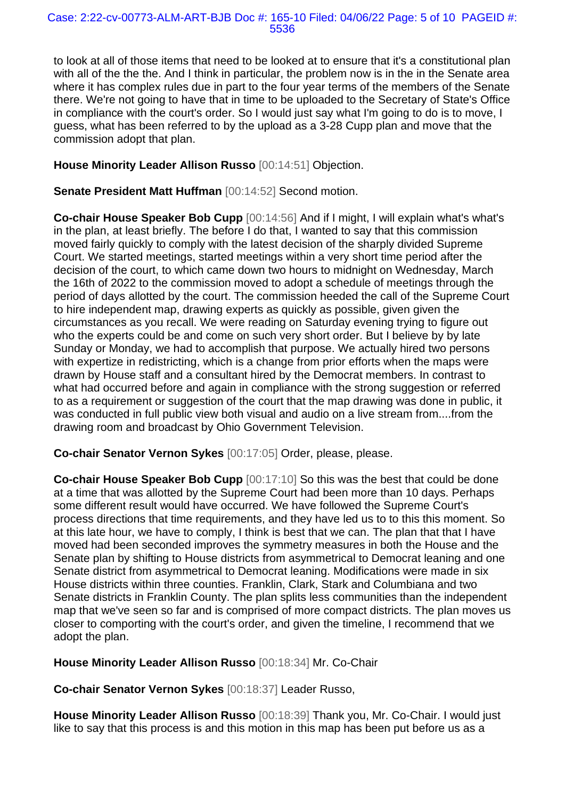to look at all of those items that need to be looked at to ensure that it's a constitutional plan with all of the the the. And I think in particular, the problem now is in the in the Senate area where it has complex rules due in part to the four year terms of the members of the Senate there. We're not going to have that in time to be uploaded to the Secretary of State's Office in compliance with the court's order. So I would just say what I'm going to do is to move, I guess, what has been referred to by the upload as a 3-28 Cupp plan and move that the commission adopt that plan.

## **House Minority Leader Allison Russo** [00:14:51] Objection.

**Senate President Matt Huffman** [00:14:52] Second motion.

**Co-chair House Speaker Bob Cupp** [00:14:56] And if I might, I will explain what's what's in the plan, at least briefly. The before I do that, I wanted to say that this commission moved fairly quickly to comply with the latest decision of the sharply divided Supreme Court. We started meetings, started meetings within a very short time period after the decision of the court, to which came down two hours to midnight on Wednesday, March the 16th of 2022 to the commission moved to adopt a schedule of meetings through the period of days allotted by the court. The commission heeded the call of the Supreme Court to hire independent map, drawing experts as quickly as possible, given given the circumstances as you recall. We were reading on Saturday evening trying to figure out who the experts could be and come on such very short order. But I believe by by late Sunday or Monday, we had to accomplish that purpose. We actually hired two persons with expertize in redistricting, which is a change from prior efforts when the maps were drawn by House staff and a consultant hired by the Democrat members. In contrast to what had occurred before and again in compliance with the strong suggestion or referred to as a requirement or suggestion of the court that the map drawing was done in public, it was conducted in full public view both visual and audio on a live stream from....from the drawing room and broadcast by Ohio Government Television.

**Co-chair Senator Vernon Sykes** [00:17:05] Order, please, please.

**Co-chair House Speaker Bob Cupp** [00:17:10] So this was the best that could be done at a time that was allotted by the Supreme Court had been more than 10 days. Perhaps some different result would have occurred. We have followed the Supreme Court's process directions that time requirements, and they have led us to to this this moment. So at this late hour, we have to comply, I think is best that we can. The plan that that I have moved had been seconded improves the symmetry measures in both the House and the Senate plan by shifting to House districts from asymmetrical to Democrat leaning and one Senate district from asymmetrical to Democrat leaning. Modifications were made in six House districts within three counties. Franklin, Clark, Stark and Columbiana and two Senate districts in Franklin County. The plan splits less communities than the independent map that we've seen so far and is comprised of more compact districts. The plan moves us closer to comporting with the court's order, and given the timeline, I recommend that we adopt the plan.

**House Minority Leader Allison Russo** [00:18:34] Mr. Co-Chair

**Co-chair Senator Vernon Sykes** [00:18:37] Leader Russo,

**House Minority Leader Allison Russo** [00:18:39] Thank you, Mr. Co-Chair. I would just like to say that this process is and this motion in this map has been put before us as a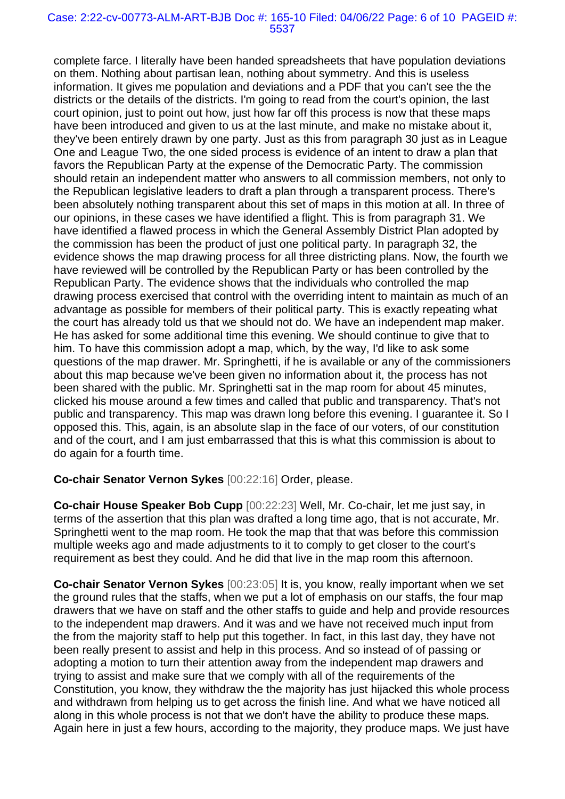#### Case: 2:22-cv-00773-ALM-ART-BJB Doc #: 165-10 Filed: 04/06/22 Page: 6 of 10 PAGEID #: 5537

complete farce. I literally have been handed spreadsheets that have population deviations on them. Nothing about partisan lean, nothing about symmetry. And this is useless information. It gives me population and deviations and a PDF that you can't see the the districts or the details of the districts. I'm going to read from the court's opinion, the last court opinion, just to point out how, just how far off this process is now that these maps have been introduced and given to us at the last minute, and make no mistake about it, they've been entirely drawn by one party. Just as this from paragraph 30 just as in League One and League Two, the one sided process is evidence of an intent to draw a plan that favors the Republican Party at the expense of the Democratic Party. The commission should retain an independent matter who answers to all commission members, not only to the Republican legislative leaders to draft a plan through a transparent process. There's been absolutely nothing transparent about this set of maps in this motion at all. In three of our opinions, in these cases we have identified a flight. This is from paragraph 31. We have identified a flawed process in which the General Assembly District Plan adopted by the commission has been the product of just one political party. In paragraph 32, the evidence shows the map drawing process for all three districting plans. Now, the fourth we have reviewed will be controlled by the Republican Party or has been controlled by the Republican Party. The evidence shows that the individuals who controlled the map drawing process exercised that control with the overriding intent to maintain as much of an advantage as possible for members of their political party. This is exactly repeating what the court has already told us that we should not do. We have an independent map maker. He has asked for some additional time this evening. We should continue to give that to him. To have this commission adopt a map, which, by the way, I'd like to ask some questions of the map drawer. Mr. Springhetti, if he is available or any of the commissioners about this map because we've been given no information about it, the process has not been shared with the public. Mr. Springhetti sat in the map room for about 45 minutes, clicked his mouse around a few times and called that public and transparency. That's not public and transparency. This map was drawn long before this evening. I guarantee it. So I opposed this. This, again, is an absolute slap in the face of our voters, of our constitution and of the court, and I am just embarrassed that this is what this commission is about to do again for a fourth time.

## **Co-chair Senator Vernon Sykes** [00:22:16] Order, please.

**Co-chair House Speaker Bob Cupp** [00:22:23] Well, Mr. Co-chair, let me just say, in terms of the assertion that this plan was drafted a long time ago, that is not accurate, Mr. Springhetti went to the map room. He took the map that that was before this commission multiple weeks ago and made adjustments to it to comply to get closer to the court's requirement as best they could. And he did that live in the map room this afternoon.

**Co-chair Senator Vernon Sykes** [00:23:05] It is, you know, really important when we set the ground rules that the staffs, when we put a lot of emphasis on our staffs, the four map drawers that we have on staff and the other staffs to guide and help and provide resources to the independent map drawers. And it was and we have not received much input from the from the majority staff to help put this together. In fact, in this last day, they have not been really present to assist and help in this process. And so instead of of passing or adopting a motion to turn their attention away from the independent map drawers and trying to assist and make sure that we comply with all of the requirements of the Constitution, you know, they withdraw the the majority has just hijacked this whole process and withdrawn from helping us to get across the finish line. And what we have noticed all along in this whole process is not that we don't have the ability to produce these maps. Again here in just a few hours, according to the majority, they produce maps. We just have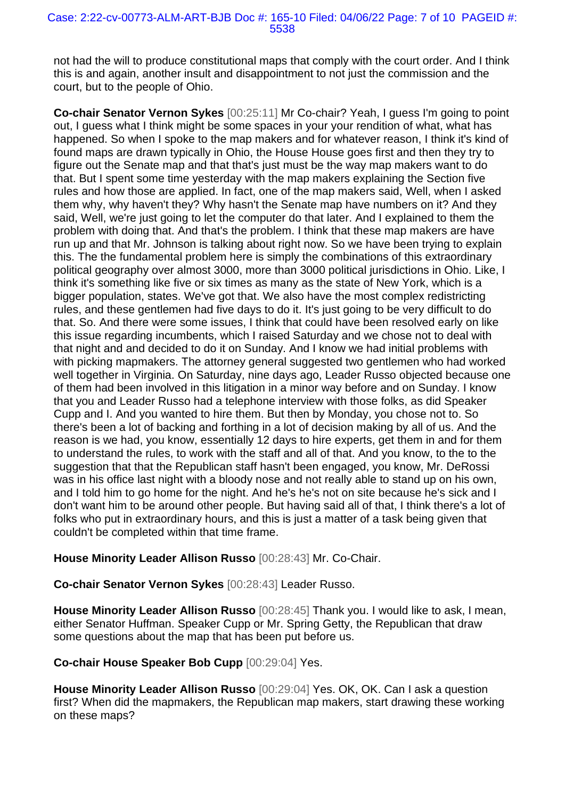#### Case: 2:22-cv-00773-ALM-ART-BJB Doc #: 165-10 Filed: 04/06/22 Page: 7 of 10 PAGEID #: 5538

not had the will to produce constitutional maps that comply with the court order. And I think this is and again, another insult and disappointment to not just the commission and the court, but to the people of Ohio.

**Co-chair Senator Vernon Sykes** [00:25:11] Mr Co-chair? Yeah, I guess I'm going to point out, I guess what I think might be some spaces in your your rendition of what, what has happened. So when I spoke to the map makers and for whatever reason, I think it's kind of found maps are drawn typically in Ohio, the House House goes first and then they try to figure out the Senate map and that that's just must be the way map makers want to do that. But I spent some time yesterday with the map makers explaining the Section five rules and how those are applied. In fact, one of the map makers said, Well, when I asked them why, why haven't they? Why hasn't the Senate map have numbers on it? And they said, Well, we're just going to let the computer do that later. And I explained to them the problem with doing that. And that's the problem. I think that these map makers are have run up and that Mr. Johnson is talking about right now. So we have been trying to explain this. The the fundamental problem here is simply the combinations of this extraordinary political geography over almost 3000, more than 3000 political jurisdictions in Ohio. Like, I think it's something like five or six times as many as the state of New York, which is a bigger population, states. We've got that. We also have the most complex redistricting rules, and these gentlemen had five days to do it. It's just going to be very difficult to do that. So. And there were some issues, I think that could have been resolved early on like this issue regarding incumbents, which I raised Saturday and we chose not to deal with that night and and decided to do it on Sunday. And I know we had initial problems with with picking mapmakers. The attorney general suggested two gentlemen who had worked well together in Virginia. On Saturday, nine days ago, Leader Russo objected because one of them had been involved in this litigation in a minor way before and on Sunday. I know that you and Leader Russo had a telephone interview with those folks, as did Speaker Cupp and I. And you wanted to hire them. But then by Monday, you chose not to. So there's been a lot of backing and forthing in a lot of decision making by all of us. And the reason is we had, you know, essentially 12 days to hire experts, get them in and for them to understand the rules, to work with the staff and all of that. And you know, to the to the suggestion that that the Republican staff hasn't been engaged, you know, Mr. DeRossi was in his office last night with a bloody nose and not really able to stand up on his own, and I told him to go home for the night. And he's he's not on site because he's sick and I don't want him to be around other people. But having said all of that, I think there's a lot of folks who put in extraordinary hours, and this is just a matter of a task being given that couldn't be completed within that time frame.

**House Minority Leader Allison Russo** [00:28:43] Mr. Co-Chair.

**Co-chair Senator Vernon Sykes** [00:28:43] Leader Russo.

**House Minority Leader Allison Russo** [00:28:45] Thank you. I would like to ask, I mean, either Senator Huffman. Speaker Cupp or Mr. Spring Getty, the Republican that draw some questions about the map that has been put before us.

**Co-chair House Speaker Bob Cupp** [00:29:04] Yes.

**House Minority Leader Allison Russo** [00:29:04] Yes. OK, OK. Can I ask a question first? When did the mapmakers, the Republican map makers, start drawing these working on these maps?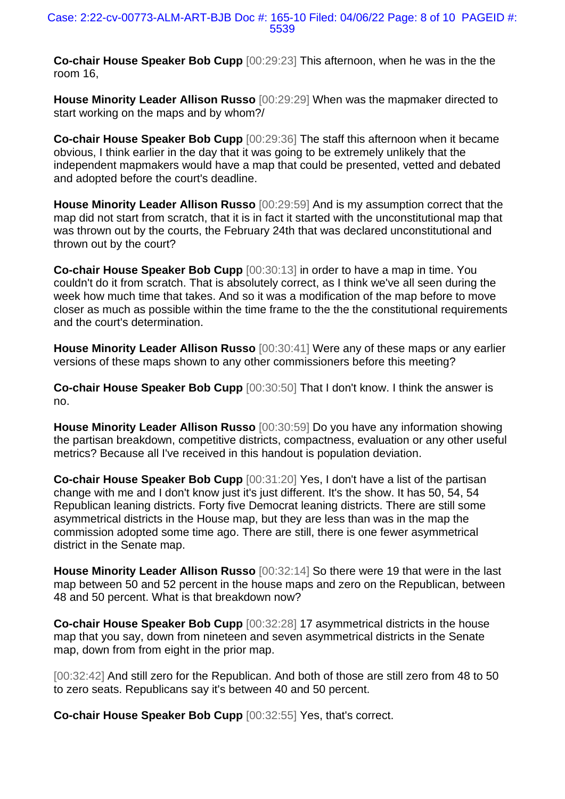**Co-chair House Speaker Bob Cupp** [00:29:23] This afternoon, when he was in the the room 16,

**House Minority Leader Allison Russo** [00:29:29] When was the mapmaker directed to start working on the maps and by whom?/

**Co-chair House Speaker Bob Cupp** [00:29:36] The staff this afternoon when it became obvious, I think earlier in the day that it was going to be extremely unlikely that the independent mapmakers would have a map that could be presented, vetted and debated and adopted before the court's deadline.

**House Minority Leader Allison Russo** [00:29:59] And is my assumption correct that the map did not start from scratch, that it is in fact it started with the unconstitutional map that was thrown out by the courts, the February 24th that was declared unconstitutional and thrown out by the court?

**Co-chair House Speaker Bob Cupp** [00:30:13] in order to have a map in time. You couldn't do it from scratch. That is absolutely correct, as I think we've all seen during the week how much time that takes. And so it was a modification of the map before to move closer as much as possible within the time frame to the the the constitutional requirements and the court's determination.

**House Minority Leader Allison Russo** [00:30:41] Were any of these maps or any earlier versions of these maps shown to any other commissioners before this meeting?

**Co-chair House Speaker Bob Cupp** [00:30:50] That I don't know. I think the answer is no.

**House Minority Leader Allison Russo** [00:30:59] Do you have any information showing the partisan breakdown, competitive districts, compactness, evaluation or any other useful metrics? Because all I've received in this handout is population deviation.

**Co-chair House Speaker Bob Cupp** [00:31:20] Yes, I don't have a list of the partisan change with me and I don't know just it's just different. It's the show. It has 50, 54, 54 Republican leaning districts. Forty five Democrat leaning districts. There are still some asymmetrical districts in the House map, but they are less than was in the map the commission adopted some time ago. There are still, there is one fewer asymmetrical district in the Senate map.

**House Minority Leader Allison Russo** [00:32:14] So there were 19 that were in the last map between 50 and 52 percent in the house maps and zero on the Republican, between 48 and 50 percent. What is that breakdown now?

**Co-chair House Speaker Bob Cupp** [00:32:28] 17 asymmetrical districts in the house map that you say, down from nineteen and seven asymmetrical districts in the Senate map, down from from eight in the prior map.

[00:32:42] And still zero for the Republican. And both of those are still zero from 48 to 50 to zero seats. Republicans say it's between 40 and 50 percent.

**Co-chair House Speaker Bob Cupp** [00:32:55] Yes, that's correct.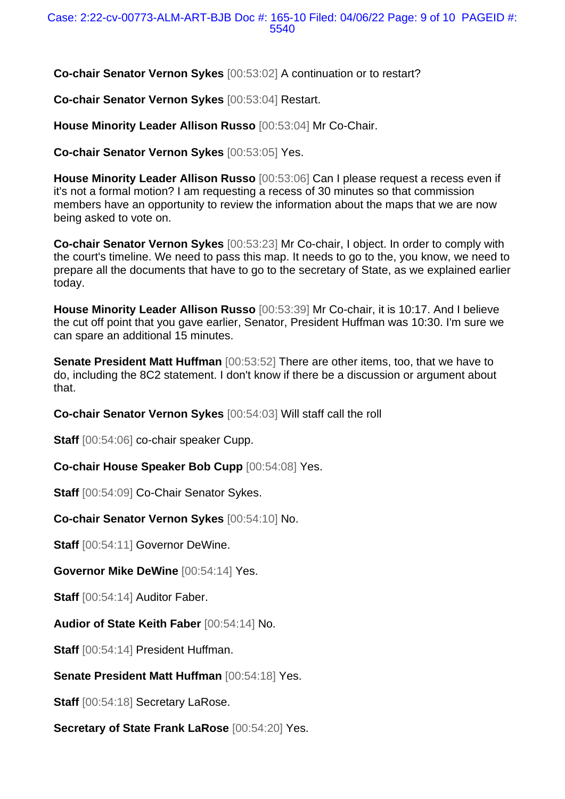**Co-chair Senator Vernon Sykes** [00:53:02] A continuation or to restart?

**Co-chair Senator Vernon Sykes** [00:53:04] Restart.

**House Minority Leader Allison Russo** [00:53:04] Mr Co-Chair.

**Co-chair Senator Vernon Sykes** [00:53:05] Yes.

**House Minority Leader Allison Russo** [00:53:06] Can I please request a recess even if it's not a formal motion? I am requesting a recess of 30 minutes so that commission members have an opportunity to review the information about the maps that we are now being asked to vote on.

**Co-chair Senator Vernon Sykes** [00:53:23] Mr Co-chair, I object. In order to comply with the court's timeline. We need to pass this map. It needs to go to the, you know, we need to prepare all the documents that have to go to the secretary of State, as we explained earlier today.

**House Minority Leader Allison Russo** [00:53:39] Mr Co-chair, it is 10:17. And I believe the cut off point that you gave earlier, Senator, President Huffman was 10:30. I'm sure we can spare an additional 15 minutes.

**Senate President Matt Huffman** [00:53:52] There are other items, too, that we have to do, including the 8C2 statement. I don't know if there be a discussion or argument about that.

**Co-chair Senator Vernon Sykes** [00:54:03] Will staff call the roll

**Staff** [00:54:06] co-chair speaker Cupp.

**Co-chair House Speaker Bob Cupp** [00:54:08] Yes.

**Staff** [00:54:09] Co-Chair Senator Sykes.

**Co-chair Senator Vernon Sykes** [00:54:10] No.

**Staff** [00:54:11] Governor DeWine.

**Governor Mike DeWine** [00:54:14] Yes.

**Staff** [00:54:14] Auditor Faber.

**Audior of State Keith Faber** [00:54:14] No.

**Staff** [00:54:14] President Huffman.

**Senate President Matt Huffman** [00:54:18] Yes.

**Staff** [00:54:18] Secretary LaRose.

**Secretary of State Frank LaRose** [00:54:20] Yes.